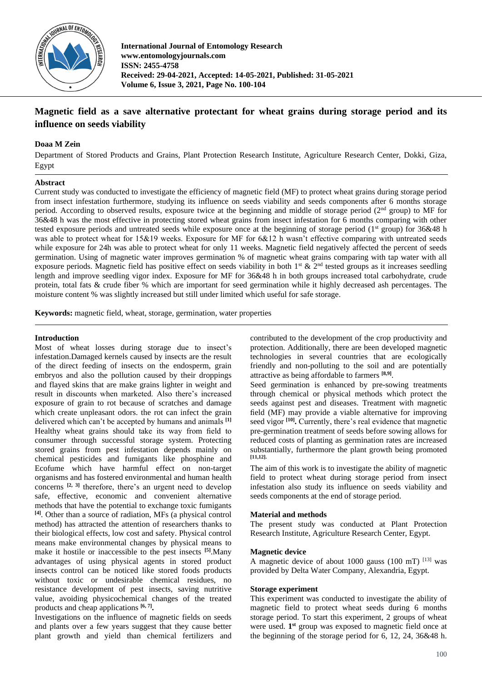

**International Journal of Entomology Research www.entomologyjournals.com ISSN: 2455-4758 Received: 29-04-2021, Accepted: 14-05-2021, Published: 31-05-2021 Volume 6, Issue 3, 2021, Page No. 100-104**

# **Magnetic field as a save alternative protectant for wheat grains during storage period and its influence on seeds viability**

### **Doaa M Zein**

Department of Stored Products and Grains, Plant Protection Research Institute, Agriculture Research Center, Dokki, Giza, Egypt

### **Abstract**

Current study was conducted to investigate the efficiency of magnetic field (MF) to protect wheat grains during storage period from insect infestation furthermore, studying its influence on seeds viability and seeds components after 6 months storage period. According to observed results, exposure twice at the beginning and middle of storage period (2nd group) to MF for 36&48 h was the most effective in protecting stored wheat grains from insect infestation for 6 months comparing with other tested exposure periods and untreated seeds while exposure once at the beginning of storage period ( $1<sup>st</sup>$  group) for 36&48 h was able to protect wheat for 15&19 weeks. Exposure for MF for 6&12 h wasn't effective comparing with untreated seeds while exposure for 24h was able to protect wheat for only 11 weeks. Magnetic field negatively affected the percent of seeds germination. Using of magnetic water improves germination % of magnetic wheat grains comparing with tap water with all exposure periods. Magnetic field has positive effect on seeds viability in both  $1<sup>st</sup>$  &  $2<sup>nd</sup>$  tested groups as it increases seedling length and improve seedling vigor index. Exposure for MF for 36&48 h in both groups increased total carbohydrate, crude protein, total fats & crude fiber % which are important for seed germination while it highly decreased ash percentages. The moisture content % was slightly increased but still under limited which useful for safe storage.

**Keywords:** magnetic field, wheat, storage, germination, water properties

### **Introduction**

Most of wheat losses during storage due to insect's infestation.Damaged kernels caused by insects are the result of the direct feeding of insects on the endosperm, grain embryos and also the pollution caused by their droppings and flayed skins that are make grains lighter in weight and result in discounts when marketed. Also there's increased exposure of grain to rot because of scratches and damage which create unpleasant odors. the rot can infect the grain delivered which can't be accepted by humans and animals **[1]** Healthy wheat grains should take its way from field to consumer through successful storage system. Protecting stored grains from pest infestation depends mainly on chemical pesticides and fumigants like phosphine and Ecofume which have harmful effect on non-target organisms and has fostered environmental and human health concerns <sup>[2, 3]</sup> therefore, there's an urgent need to develop safe, effective, economic and convenient alternative methods that have the potential to exchange toxic fumigants **[4]**. Other than a source of radiation, MFs (a physical control method) has attracted the attention of researchers thanks to their biological effects, low cost and safety. Physical control means make environmental changes by physical means to make it hostile or inaccessible to the pest insects **[5]** .Many advantages of using physical agents in stored product insects control can be noticed like stored foods products without toxic or undesirable chemical residues, no resistance development of pest insects, saving nutritive value, avoiding physicochemical changes of the treated products and cheap applications **[6, 7] .**

Investigations on the influence of magnetic fields on seeds and plants over a few years suggest that they cause better plant growth and yield than chemical fertilizers and contributed to the development of the crop productivity and protection. Additionally, there are been developed magnetic technologies in several countries that are ecologically friendly and non-polluting to the soil and are potentially attractive as being affordable to farmers **[8,9]** .

Seed germination is enhanced by pre-sowing treatments through chemical or physical methods which protect the seeds against pest and diseases. Treatment with magnetic field (MF) may provide a viable alternative for improving seed vigor<sup>[10]</sup>. Currently, there's real evidence that magnetic pre-germination treatment of seeds before sowing allows for reduced costs of planting as germination rates are increased substantially, furthermore the plant growth being promoted **[11,12].**

The aim of this work is to investigate the ability of magnetic field to protect wheat during storage period from insect infestation also study its influence on seeds viability and seeds components at the end of storage period.

#### **Material and methods**

The present study was conducted at Plant Protection Research Institute, Agriculture Research Center, Egypt.

#### **Magnetic device**

A magnetic device of about 1000 gauss (100 mT)  $^{[13]}$  was provided by Delta Water Company, Alexandria, Egypt.

#### **Storage experiment**

This experiment was conducted to investigate the ability of magnetic field to protect wheat seeds during 6 months storage period. To start this experiment, 2 groups of wheat were used. 1<sup>st</sup> group was exposed to magnetic field once at the beginning of the storage period for 6, 12, 24, 36&48 h.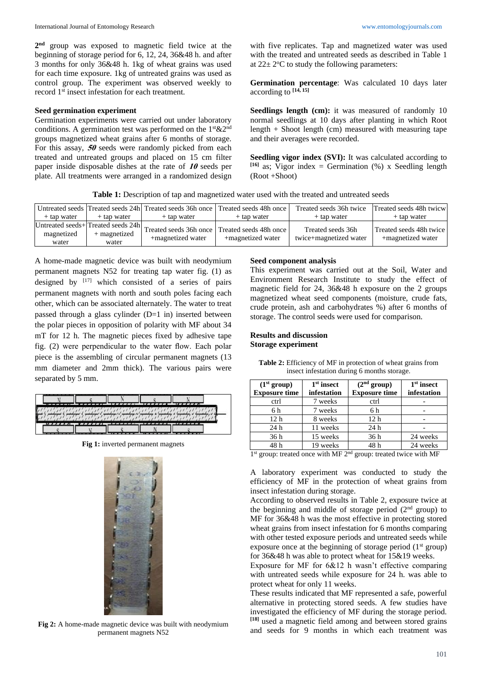**2 nd** group was exposed to magnetic field twice at the beginning of storage period for 6, 12, 24, 36&48 h. and after 3 months for only 36&48 h. 1kg of wheat grains was used for each time exposure. 1kg of untreated grains was used as control group. The experiment was observed weekly to record 1st insect infestation for each treatment.

#### **Seed germination experiment**

Germination experiments were carried out under laboratory conditions. A germination test was performed on the  $1$ <sup>st</sup>  $&2<sup>nd</sup>$ groups magnetized wheat grains after 6 months of storage. For this assay, **<sup>50</sup>** seeds were randomly picked from each treated and untreated groups and placed on 15 cm filter paper inside disposable dishes at the rate of **<sup>10</sup>** seeds per plate. All treatments were arranged in a randomized design with five replicates. Tap and magnetized water was used with the treated and untreated seeds as described in Table 1 at  $22 \pm 2$ <sup>o</sup>C to study the following parameters:

**Germination percentage**: Was calculated 10 days later according to **[14, 15]**

Seedlings length (cm): it was measured of randomly 10 normal seedlings at 10 days after planting in which Root length + Shoot length (cm) measured with measuring tape and their averages were recorded.

Seedling vigor index (SVI): It was calculated according to  $[16]$  as; Vigor index = Germination (%) x Seedling length (Root +Shoot)

**Table 1:** Description of tap and magnetized water used with the treated and untreated seeds

|                     |                       | Untreated seeds Treated seeds 24h Treated seeds 36h once Treated seeds 48h once                              |                   | Treated seeds 36h twice                     | Treated seeds 48h twicw                      |
|---------------------|-----------------------|--------------------------------------------------------------------------------------------------------------|-------------------|---------------------------------------------|----------------------------------------------|
| + tap water         | + tap water           | + tap water                                                                                                  | + tap water       | + tap water                                 | + tap water                                  |
| magnetized<br>water | + magnetized<br>water | Untreated seeds+Treated seeds 24h <br>Treated seeds 36h once   Treated seeds 48h once  <br>+magnetized water | +magnetized water | Treated seeds 36h<br>twice+magnetized water | Treated seeds 48h twice<br>+magnetized water |

A home-made magnetic device was built with neodymium permanent magnets N52 for treating tap water fig. (1) as designed by  $[17]$  which consisted of a series of pairs permanent magnets with north and south poles facing each other, which can be associated alternately. The water to treat passed through a glass cylinder (D=1 in) inserted between the polar pieces in opposition of polarity with MF about 34 mT for 12 h. The magnetic pieces fixed by adhesive tape fig. (2) were perpendicular to the water flow. Each polar piece is the assembling of circular permanent magnets (13 mm diameter and 2mm thick). The various pairs were separated by 5 mm.

**Fig 1:** inverted permanent magnets



**Fig 2:** A home-made magnetic device was built with neodymium permanent magnets N52

### **Seed component analysis**

This experiment was carried out at the Soil, Water and Environment Research Institute to study the effect of magnetic field for 24, 36&48 h exposure on the 2 groups magnetized wheat seed components (moisture, crude fats, crude protein, ash and carbohydrates %) after 6 months of storage. The control seeds were used for comparison.

### **Results and discussion Storage experiment**

| (1 <sup>st</sup> group)<br><b>Exposure time</b> | $1st$ insect<br>infestation | (2 <sup>nd</sup> group)<br><b>Exposure time</b> | $1st$ insect<br>infestation |  |  |  |  |
|-------------------------------------------------|-----------------------------|-------------------------------------------------|-----------------------------|--|--|--|--|
| ctrl                                            | 7 weeks                     | ctrl                                            |                             |  |  |  |  |
| 6 h                                             | 7 weeks                     | 6 h                                             |                             |  |  |  |  |
| 12 <sub>h</sub>                                 | 8 weeks                     | 12 <sub>h</sub>                                 |                             |  |  |  |  |
| 24h                                             | 11 weeks                    | 24h                                             |                             |  |  |  |  |
| 36h                                             | 15 weeks                    | 36h                                             | 24 weeks                    |  |  |  |  |
| 48h                                             | 19 weeks                    | 48 h                                            | 24 weeks                    |  |  |  |  |

**Table 2:** Efficiency of MF in protection of wheat grains from insect infestation during 6 months storage.

1<sup>st</sup> group: treated once with MF 2<sup>nd</sup> group: treated twice with MF

A laboratory experiment was conducted to study the efficiency of MF in the protection of wheat grains from insect infestation during storage.

According to observed results in Table 2, exposure twice at the beginning and middle of storage period  $(2<sup>nd</sup>$  group) to MF for 36&48 h was the most effective in protecting stored wheat grains from insect infestation for 6 months comparing with other tested exposure periods and untreated seeds while exposure once at the beginning of storage period  $(1<sup>st</sup> group)$ for 36&48 h was able to protect wheat for 15&19 weeks.

Exposure for MF for 6&12 h wasn't effective comparing with untreated seeds while exposure for 24 h. was able to protect wheat for only 11 weeks.

These results indicated that MF represented a safe, powerful alternative in protecting stored seeds. A few studies have investigated the efficiency of MF during the storage period. **[18]** used a magnetic field among and between stored grains and seeds for 9 months in which each treatment was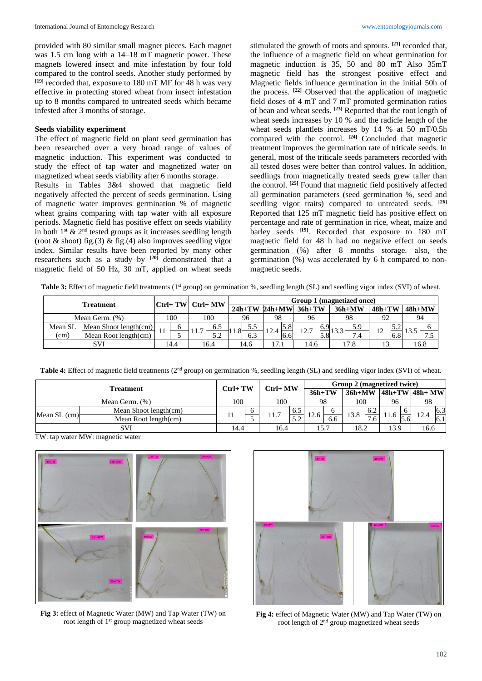provided with 80 similar small magnet pieces. Each magnet was 1.5 cm long with a 14–18 mT magnetic power. These magnets lowered insect and mite infestation by four fold compared to the control seeds. Another study performed by **[19]** recorded that, exposure to 180 mT MF for 48 h was very effective in protecting stored wheat from insect infestation up to 8 months compared to untreated seeds which became infested after 3 months of storage.

### **Seeds viability experiment**

The effect of magnetic field on plant seed germination has been researched over a very broad range of values of magnetic induction. This experiment was conducted to study the effect of tap water and magnetized water on magnetized wheat seeds viability after 6 months storage.

Results in Tables 3&4 showed that magnetic field negatively affected the percent of seeds germination. Using of magnetic water improves germination % of magnetic wheat grains comparing with tap water with all exposure periods. Magnetic field has positive effect on seeds viability in both  $1^{st}$  &  $2^{nd}$  tested groups as it increases seedling length (root & shoot) fig.(3) & fig.(4) also improves seedling vigor index. Similar results have been reported by many other researchers such as a study by **[20]** demonstrated that a magnetic field of 50 Hz, 30 mT, applied on wheat seeds

stimulated the growth of roots and sprouts. **[21]** recorded that, the influence of a magnetic field on wheat germination for magnetic induction is 35, 50 and 80 mT Also 35mT magnetic field has the strongest positive effect and Magnetic fields influence germination in the initial 50h of the process. **[22]** Observed that the application of magnetic field doses of 4 mT and 7 mT promoted germination ratios of bean and wheat seeds. **[23]** Reported that the root length of wheat seeds increases by 10 % and the radicle length of the wheat seeds plantlets increases by 14 % at 50 mT/0.5h compared with the control. **[24]** Concluded that magnetic treatment improves the germination rate of triticale seeds. In general, most of the triticale seeds parameters recorded with all tested doses were better than control values. In addition, seedlings from magnetically treated seeds grew taller than the control. **[25]** Found that magnetic field positively affected all germination parameters (seed germination %, seed and seedling vigor traits) compared to untreated seeds. **[26]** Reported that 125 mT magnetic field has positive effect on percentage and rate of germination in rice, wheat, maize and barley seeds **[19]** . Recorded that exposure to 180 mT magnetic field for 48 h had no negative effect on seeds germination (%) after 8 months storage. also, the germination (%) was accelerated by 6 h compared to nonmagnetic seeds.

**Table 3:** Effect of magnetic field treatments (1<sup>st</sup> group) on germination %, seedling length (SL) and seedling vigor index (SVI) of wheat.

| Treatment      |                          |              |     |              | Group 1 (magnetized once)<br>$ Ctrl+ TW $ Ctrl+ MW |        |     |      |               |                            |      |      |          |          |          |          |      |
|----------------|--------------------------|--------------|-----|--------------|----------------------------------------------------|--------|-----|------|---------------|----------------------------|------|------|----------|----------|----------|----------|------|
|                |                          |              |     |              |                                                    |        |     |      |               | $24h+TW$ $24h+MW$ $36h+TW$ |      |      | $36h+MW$ | $48h+TW$ |          | $48h+MW$ |      |
| Mean Germ. (%) |                          |              | 100 | 100          |                                                    | 96     |     | 98   |               | 96                         |      | 98   |          | 92       |          | 94       |      |
| Mean SL        | Mean Shoot length $(cm)$ |              | 6   |              | 6.5                                                | $\sim$ | 5.5 | 12.4 | 5.8           | 12.7                       | 10.9 | 122  | 5.9      | 12       | <u>.</u> | $\sim$   |      |
| (cm)           | Mean Root length(cm)     | Ħ            |     |              | ے . د                                              | 11.0   | 6.3 |      | $0.6^{\circ}$ |                            |      |      | 7.4      |          | 6.8      |          | ر. . |
| <b>SVI</b>     |                          | 16.4<br>14.4 |     | 17.1<br>14.6 |                                                    | 14.6   |     | l7.8 |               |                            |      | 16.8 |          |          |          |          |      |

**Table 4:** Effect of magnetic field treatments (2<sup>nd</sup> group) on germination %, seedling length (SL) and seedling vigor index (SVI) of wheat.

| Treatment      |                       | $Ctrl+TW$  |  | Ctrl+ MW |               | Group 2 (magnetized twice) |     |          |                     |      |               |                  |     |
|----------------|-----------------------|------------|--|----------|---------------|----------------------------|-----|----------|---------------------|------|---------------|------------------|-----|
|                |                       |            |  |          |               | $36h+TW$                   |     | $36h+MW$ |                     |      |               | 48h+TW   48h+ MW |     |
| Mean Germ. (%) |                       | 100<br>100 |  | 98       |               | 100                        |     | 96       |                     | 98   |               |                  |     |
| Mean $SL$ (cm) | Mean Shoot length(cm) |            |  | 11.7     | $6.5^{\circ}$ | 12.6                       | O   | 13.8     | 6.2                 |      |               | 12.4             | 6.3 |
|                | Mean Root length(cm)  |            |  |          | 50<br>ے . د   |                            | 6.6 |          | $\mathbf{r}$<br>1.6 |      | $5.6^{\circ}$ |                  | 6.1 |
| SVI            |                       | 14.4       |  | 16.4     |               | 15.7                       |     | 18.2     |                     | 13.9 |               | 16.6             |     |

TW: tap water MW: magnetic water



**Fig 3:** effect of Magnetic Water (MW) and Tap Water (TW) on root length of 1st group magnetized wheat seeds



**Fig 4:** effect of Magnetic Water (MW) and Tap Water (TW) on root length of 2nd group magnetized wheat seeds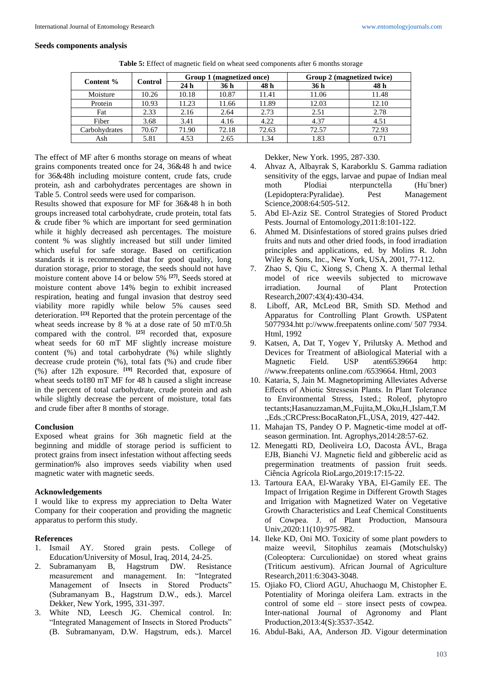# **Seeds components analysis**

| Content %     |         |       | Group 1 (magnetized once) |       | Group 2 (magnetized twice) |       |  |  |  |  |  |  |
|---------------|---------|-------|---------------------------|-------|----------------------------|-------|--|--|--|--|--|--|
|               | Control | 24h   | 36 h                      | 48 h  | 36 h                       | 48 h  |  |  |  |  |  |  |
| Moisture      | 10.26   | 10.18 | 10.87                     | 11.41 | 11.06                      | 11.48 |  |  |  |  |  |  |
| Protein       | 10.93   | 11.23 | 11.66                     | 11.89 | 12.03                      | 12.10 |  |  |  |  |  |  |
| Fat           | 2.33    | 2.16  | 2.64                      | 2.73  | 2.51                       | 2.78  |  |  |  |  |  |  |
| Fiber         | 3.68    | 3.41  | 4.16                      | 4.22  | 4.37                       | 4.51  |  |  |  |  |  |  |
| Carbohydrates | 70.67   | 71.90 | 72.18                     | 72.63 | 72.57                      | 72.93 |  |  |  |  |  |  |
| Ash           | 5.81    | 4.53  | 2.65                      | 1.34  | 1.83                       | 0.71  |  |  |  |  |  |  |

**Table 5:** Effect of magnetic field on wheat seed components after 6 months storage

The effect of MF after 6 months storage on means of wheat grains components treated once for 24, 36&48 h and twice for 36&48h including moisture content, crude fats, crude protein, ash and carbohydrates percentages are shown in Table 5. Control seeds were used for comparison.

Results showed that exposure for MF for 36&48 h in both groups increased total carbohydrate, crude protein, total fats & crude fiber % which are important for seed germination while it highly decreased ash percentages. The moisture content % was slightly increased but still under limited which useful for safe storage. Based on certification standards it is recommended that for good quality, long duration storage, prior to storage, the seeds should not have moisture content above 14 or below 5% **[27] .** Seeds stored at moisture content above 14% begin to exhibit increased respiration, heating and fungal invasion that destroy seed viability more rapidly while below 5% causes seed deterioration. **[23]** Reported that the protein percentage of the wheat seeds increase by 8 % at a dose rate of 50 mT/0.5h compared with the control. **[25]** recorded that, exposure wheat seeds for 60 mT MF slightly increase moisture content (%) and total carbohydrate (%) while slightly decrease crude protein (%), total fats (%) and crude fiber (%) after 12h exposure. **[19]** Recorded that, exposure of wheat seeds to180 mT MF for 48 h caused a slight increase in the percent of total carbohydrate, crude protein and ash while slightly decrease the percent of moisture, total fats and crude fiber after 8 months of storage.

# **Conclusion**

Exposed wheat grains for 36h magnetic field at the beginning and middle of storage period is sufficient to protect grains from insect infestation without affecting seeds germination% also improves seeds viability when used magnetic water with magnetic seeds.

# **Acknowledgements**

I would like to express my appreciation to Delta Water Company for their cooperation and providing the magnetic apparatus to perform this study.

# **References**

- 1. Ismail AY. Stored grain pests. College of Education/University of Mosul, Iraq, 2014, 24-25.
- 2. Subramanyam B, Hagstrum DW. Resistance measurement and management. In: "Integrated Management of Insects in Stored Products" (Subramanyam B., Hagstrum D.W., eds.). Marcel Dekker, New York, 1995, 331-397.
- 3. White ND, Leesch JG. Chemical control. In: "Integrated Management of Insects in Stored Products" (B. Subramanyam, D.W. Hagstrum, eds.). Marcel

Dekker, New York. 1995, 287-330.

- 4. Ahvaz A, Albayrak S, Karaborklu S. Gamma radiation sensitivity of the eggs, larvae and pupae of Indian meal moth Plodiai nterpunctella (Hu¨bner) (Lepidoptera:Pyralidae). Pest Management Science,2008:64:505-512.
- 5. Abd El-Aziz SE. Control Strategies of Stored Product Pests. Journal of Entomology,2011:8:101-122.
- 6. Ahmed M. Disinfestations of stored grains pulses dried fruits and nuts and other dried foods, in food irradiation principles and applications, ed. by Molins R. John Wiley & Sons, Inc., New York, USA, 2001, 77-112.
- 7. Zhao S, Qiu C, Xiong S, Cheng X. A thermal lethal model of rice weevils subjected to microwave irradiation. Journal of Plant Protection Research,2007:43(4):430-434.
- 8. Liboff, AR, McLeod BR, Smith SD. Method and Apparatus for Controlling Plant Growth. USPatent 5077934.htt p://www.freepatents online.com/ 507 7934. Html, 1992
- 9. Katsen, A, Dat T, Yogev Y, Prilutsky A. Method and Devices for Treatment of aBiological Material with a Magnetic Field. USP atent6539664 http: //www.freepatents online.com /6539664. Html, 2003
- 10. Kataria, S, Jain M. Magnetopriming Alleviates Adverse Effects of Abiotic Stressesin Plants. In Plant Tolerance to Environmental Stress, 1sted.; Roleof, phytopro tectants;Hasanuzzaman,M.,Fujita,M.,Oku,H.,Islam,T.M .,Eds.;CRCPress:BocaRaton,FL,USA, 2019, 427-442.
- 11. Mahajan TS, Pandey O P. Magnetic-time model at offseason germination. Int. Agrophys,2014:28:57-62.
- 12. Menegatti RD, Deoliveira LO, Dacosta ÁVL, Braga EJB, Bianchi VJ. Magnetic field and gibberelic acid as pregermination treatments of passion fruit seeds. Ciência Agrícola RioLargo,2019:17:15-22.
- 13. Tartoura EAA, El-Waraky YBA, El-Gamily EE. The Impact of Irrigation Regime in Different Growth Stages and Irrigation with Magnetized Water on Vegetative Growth Characteristics and Leaf Chemical Constituents of Cowpea. J. of Plant Production, Mansoura Univ,2020:11(10):975-982.
- 14. Ileke KD, Oni MO. Toxicity of some plant powders to maize weevil, Sitophilus zeamais (Motschulsky) (Coleoptera: Curculionidae) on stored wheat grains (Triticum aestivum). African Journal of Agriculture Research,2011:6:3043-3048.
- 15. Ojiako FO, Cliord AGU, Ahuchaogu M, Chistopher E. Potentiality of Moringa oleifera Lam. extracts in the control of some eld – store insect pests of cowpea. Inter-national Journal of Agronomy and Plant Production,2013:4(S):3537-3542.
- 16. Abdul-Baki, AA, Anderson JD. Vigour determination